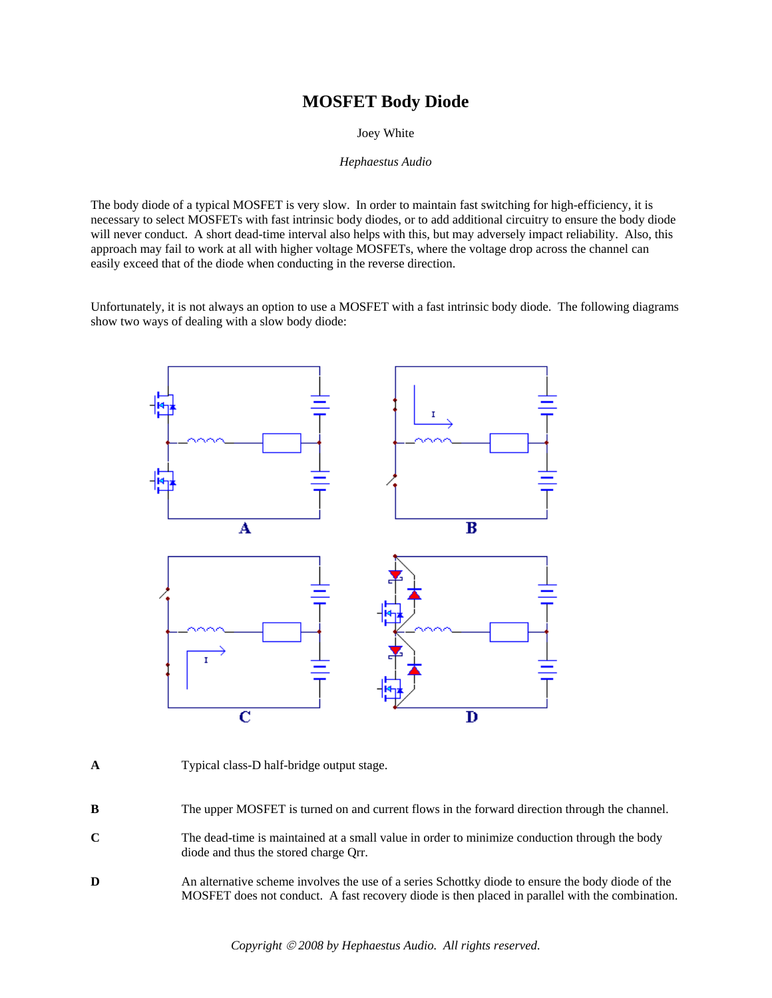## **MOSFET Body Diode**

Joey White

*Hephaestus Audio* 

The body diode of a typical MOSFET is very slow. In order to maintain fast switching for high-efficiency, it is necessary to select MOSFETs with fast intrinsic body diodes, or to add additional circuitry to ensure the body diode will never conduct. A short dead-time interval also helps with this, but may adversely impact reliability. Also, this approach may fail to work at all with higher voltage MOSFETs, where the voltage drop across the channel can easily exceed that of the diode when conducting in the reverse direction.

Unfortunately, it is not always an option to use a MOSFET with a fast intrinsic body diode. The following diagrams show two ways of dealing with a slow body diode:



**A** Typical class-D half-bridge output stage.

**B** The upper MOSFET is turned on and current flows in the forward direction through the channel.

- **C** The dead-time is maintained at a small value in order to minimize conduction through the body diode and thus the stored charge Qrr.
- **D** An alternative scheme involves the use of a series Schottky diode to ensure the body diode of the MOSFET does not conduct. A fast recovery diode is then placed in parallel with the combination.

*Copyright* © *2008 by Hephaestus Audio. All rights reserved.*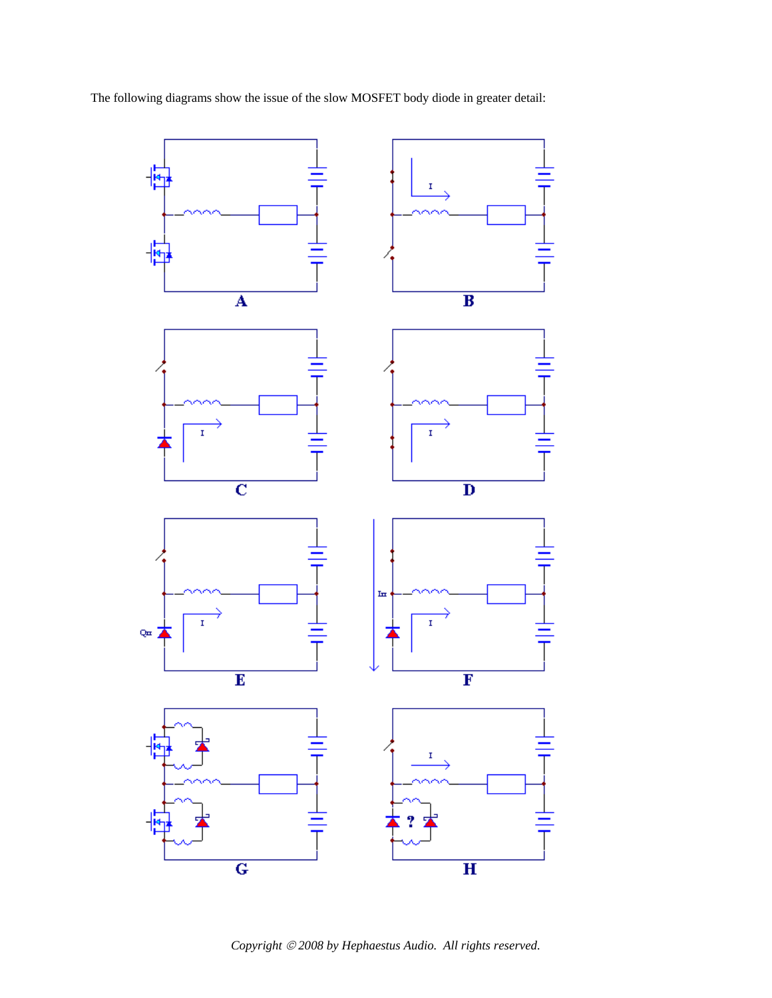The following diagrams show the issue of the slow MOSFET body diode in greater detail:



*Copyright* © *2008 by Hephaestus Audio. All rights reserved.*